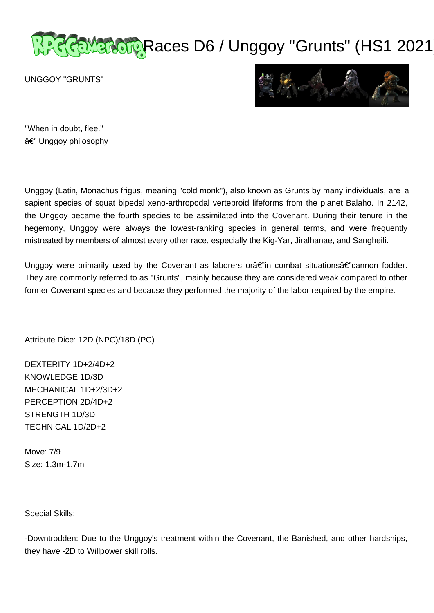# RaMarcup Races D6 / Unggoy "Grunts" (HS1 2021

UNGGOY "GRUNTS"



"When in doubt, flee." â€" Unggoy philosophy

Unggoy (Latin, Monachus frigus, meaning "cold monk"), also known as Grunts by many individuals, are a sapient species of squat bipedal xeno-arthropodal vertebroid lifeforms from the planet Balaho. In 2142, the Unggoy became the fourth species to be assimilated into the Covenant. During their tenure in the hegemony, Unggoy were always the lowest-ranking species in general terms, and were frequently mistreated by members of almost every other race, especially the Kig-Yar, Jiralhanae, and Sangheili.

Unggoy were primarily used by the Covenant as laborers or $\hat{a}\in\hat{m}$  combat situations $\hat{a}\in\hat{m}$ cannon fodder. They are commonly referred to as "Grunts", mainly because they are considered weak compared to other former Covenant species and because they performed the majority of the labor required by the empire.

Attribute Dice: 12D (NPC)/18D (PC)

DEXTERITY 1D+2/4D+2 KNOWLEDGE 1D/3D MECHANICAL 1D+2/3D+2 PERCEPTION 2D/4D+2 STRENGTH 1D/3D TECHNICAL 1D/2D+2

Move: 7/9 Size: 1.3m-1.7m

Special Skills:

-Downtrodden: Due to the Unggoy's treatment within the Covenant, the Banished, and other hardships, they have -2D to Willpower skill rolls.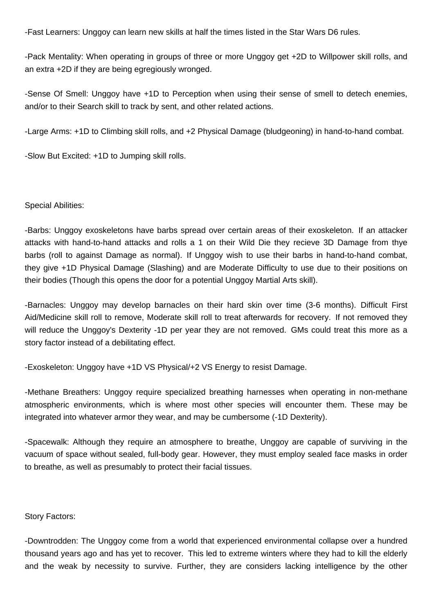-Fast Learners: Unggoy can learn new skills at half the times listed in the Star Wars D6 rules.

-Pack Mentality: When operating in groups of three or more Unggoy get +2D to Willpower skill rolls, and an extra +2D if they are being egregiously wronged.

-Sense Of Smell: Unggoy have +1D to Perception when using their sense of smell to detech enemies, and/or to their Search skill to track by sent, and other related actions.

-Large Arms: +1D to Climbing skill rolls, and +2 Physical Damage (bludgeoning) in hand-to-hand combat.

-Slow But Excited: +1D to Jumping skill rolls.

# Special Abilities:

-Barbs: Unggoy exoskeletons have barbs spread over certain areas of their exoskeleton. If an attacker attacks with hand-to-hand attacks and rolls a 1 on their Wild Die they recieve 3D Damage from thye barbs (roll to against Damage as normal). If Unggoy wish to use their barbs in hand-to-hand combat, they give +1D Physical Damage (Slashing) and are Moderate Difficulty to use due to their positions on their bodies (Though this opens the door for a potential Unggoy Martial Arts skill).

-Barnacles: Unggoy may develop barnacles on their hard skin over time (3-6 months). Difficult First Aid/Medicine skill roll to remove, Moderate skill roll to treat afterwards for recovery. If not removed they will reduce the Unggoy's Dexterity -1D per year they are not removed. GMs could treat this more as a story factor instead of a debilitating effect.

-Exoskeleton: Unggoy have +1D VS Physical/+2 VS Energy to resist Damage.

-Methane Breathers: Unggoy require specialized breathing harnesses when operating in non-methane atmospheric environments, which is where most other species will encounter them. These may be integrated into whatever armor they wear, and may be cumbersome (-1D Dexterity).

-Spacewalk: Although they require an atmosphere to breathe, Unggoy are capable of surviving in the vacuum of space without sealed, full-body gear. However, they must employ sealed face masks in order to breathe, as well as presumably to protect their facial tissues.

# Story Factors:

-Downtrodden: The Unggoy come from a world that experienced environmental collapse over a hundred thousand years ago and has yet to recover. This led to extreme winters where they had to kill the elderly and the weak by necessity to survive. Further, they are considers lacking intelligence by the other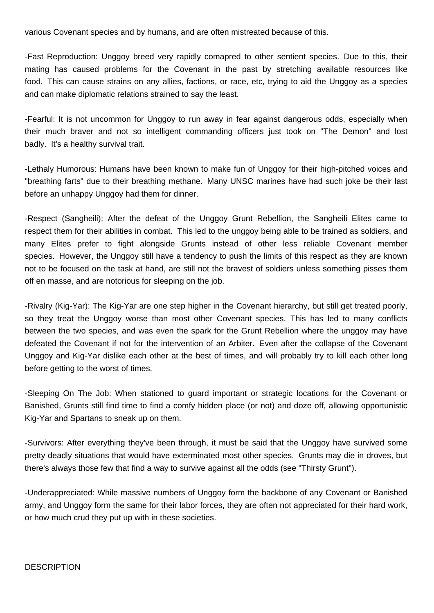various Covenant species and by humans, and are often mistreated because of this.

-Fast Reproduction: Unggoy breed very rapidly comapred to other sentient species. Due to this, their mating has caused problems for the Covenant in the past by stretching available resources like food. This can cause strains on any allies, factions, or race, etc, trying to aid the Unggoy as a species and can make diplomatic relations strained to say the least.

-Fearful: It is not uncommon for Unggoy to run away in fear against dangerous odds, especially when their much braver and not so intelligent commanding officers just took on "The Demon" and lost badly. It's a healthy survival trait.

-Lethaly Humorous: Humans have been known to make fun of Unggoy for their high-pitched voices and "breathing farts" due to their breathing methane. Many UNSC marines have had such joke be their last before an unhappy Unggoy had them for dinner.

-Respect (Sangheili): After the defeat of the Unggoy Grunt Rebellion, the Sangheili Elites came to respect them for their abilities in combat. This led to the unggoy being able to be trained as soldiers, and many Elites prefer to fight alongside Grunts instead of other less reliable Covenant member species. However, the Unggoy still have a tendency to push the limits of this respect as they are known not to be focused on the task at hand, are still not the bravest of soldiers unless something pisses them off en masse, and are notorious for sleeping on the job.

-Rivalry (Kig-Yar): The Kig-Yar are one step higher in the Covenant hierarchy, but still get treated poorly, so they treat the Unggoy worse than most other Covenant species. This has led to many conflicts between the two species, and was even the spark for the Grunt Rebellion where the unggoy may have defeated the Covenant if not for the intervention of an Arbiter. Even after the collapse of the Covenant Unggoy and Kig-Yar dislike each other at the best of times, and will probably try to kill each other long before getting to the worst of times.

-Sleeping On The Job: When stationed to guard important or strategic locations for the Covenant or Banished, Grunts still find time to find a comfy hidden place (or not) and doze off, allowing opportunistic Kig-Yar and Spartans to sneak up on them.

-Survivors: After everything they've been through, it must be said that the Unggoy have survived some pretty deadly situations that would have exterminated most other species. Grunts may die in droves, but there's always those few that find a way to survive against all the odds (see "Thirsty Grunt").

-Underappreciated: While massive numbers of Unggoy form the backbone of any Covenant or Banished army, and Unggoy form the same for their labor forces, they are often not appreciated for their hard work, or how much crud they put up with in these societies.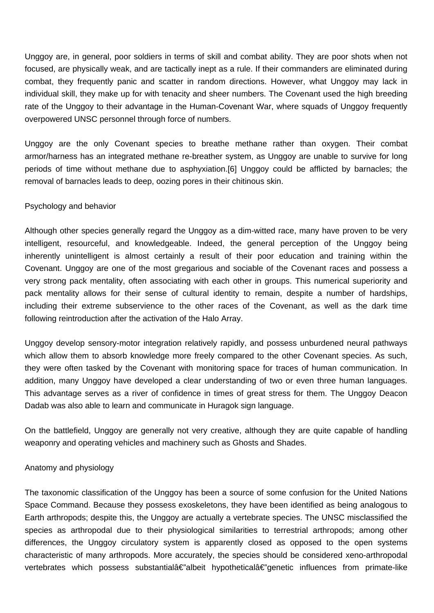Unggoy are, in general, poor soldiers in terms of skill and combat ability. They are poor shots when not focused, are physically weak, and are tactically inept as a rule. If their commanders are eliminated during combat, they frequently panic and scatter in random directions. However, what Unggoy may lack in individual skill, they make up for with tenacity and sheer numbers. The Covenant used the high breeding rate of the Unggoy to their advantage in the Human-Covenant War, where squads of Unggoy frequently overpowered UNSC personnel through force of numbers.

Unggoy are the only Covenant species to breathe methane rather than oxygen. Their combat armor/harness has an integrated methane re-breather system, as Unggoy are unable to survive for long periods of time without methane due to asphyxiation.[6] Unggoy could be afflicted by barnacles; the removal of barnacles leads to deep, oozing pores in their chitinous skin.

# Psychology and behavior

Although other species generally regard the Unggoy as a dim-witted race, many have proven to be very intelligent, resourceful, and knowledgeable. Indeed, the general perception of the Unggoy being inherently unintelligent is almost certainly a result of their poor education and training within the Covenant. Unggoy are one of the most gregarious and sociable of the Covenant races and possess a very strong pack mentality, often associating with each other in groups. This numerical superiority and pack mentality allows for their sense of cultural identity to remain, despite a number of hardships, including their extreme subservience to the other races of the Covenant, as well as the dark time following reintroduction after the activation of the Halo Array.

Unggoy develop sensory-motor integration relatively rapidly, and possess unburdened neural pathways which allow them to absorb knowledge more freely compared to the other Covenant species. As such, they were often tasked by the Covenant with monitoring space for traces of human communication. In addition, many Unggoy have developed a clear understanding of two or even three human languages. This advantage serves as a river of confidence in times of great stress for them. The Unggoy Deacon Dadab was also able to learn and communicate in Huragok sign language.

On the battlefield, Unggoy are generally not very creative, although they are quite capable of handling weaponry and operating vehicles and machinery such as Ghosts and Shades.

# Anatomy and physiology

The taxonomic classification of the Unggoy has been a source of some confusion for the United Nations Space Command. Because they possess exoskeletons, they have been identified as being analogous to Earth arthropods; despite this, the Unggoy are actually a vertebrate species. The UNSC misclassified the species as arthropodal due to their physiological similarities to terrestrial arthropods; among other differences, the Unggoy circulatory system is apparently closed as opposed to the open systems characteristic of many arthropods. More accurately, the species should be considered xeno-arthropodal vertebrates which possess substantialâ€"albeit hypotheticalâ€"genetic influences from primate-like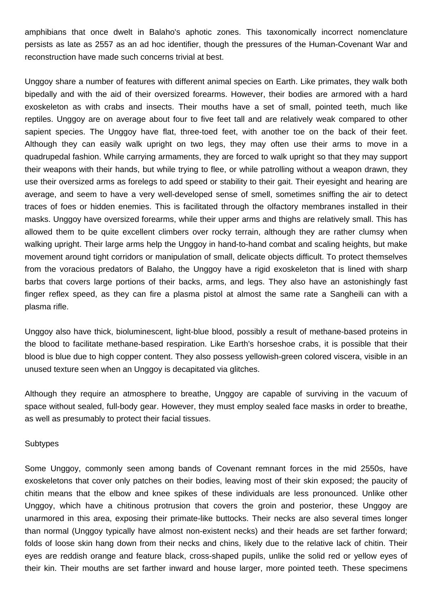amphibians that once dwelt in Balaho's aphotic zones. This taxonomically incorrect nomenclature persists as late as 2557 as an ad hoc identifier, though the pressures of the Human-Covenant War and reconstruction have made such concerns trivial at best.

Unggoy share a number of features with different animal species on Earth. Like primates, they walk both bipedally and with the aid of their oversized forearms. However, their bodies are armored with a hard exoskeleton as with crabs and insects. Their mouths have a set of small, pointed teeth, much like reptiles. Unggoy are on average about four to five feet tall and are relatively weak compared to other sapient species. The Unggoy have flat, three-toed feet, with another toe on the back of their feet. Although they can easily walk upright on two legs, they may often use their arms to move in a quadrupedal fashion. While carrying armaments, they are forced to walk upright so that they may support their weapons with their hands, but while trying to flee, or while patrolling without a weapon drawn, they use their oversized arms as forelegs to add speed or stability to their gait. Their eyesight and hearing are average, and seem to have a very well-developed sense of smell, sometimes sniffing the air to detect traces of foes or hidden enemies. This is facilitated through the olfactory membranes installed in their masks. Unggoy have oversized forearms, while their upper arms and thighs are relatively small. This has allowed them to be quite excellent climbers over rocky terrain, although they are rather clumsy when walking upright. Their large arms help the Unggoy in hand-to-hand combat and scaling heights, but make movement around tight corridors or manipulation of small, delicate objects difficult. To protect themselves from the voracious predators of Balaho, the Unggoy have a rigid exoskeleton that is lined with sharp barbs that covers large portions of their backs, arms, and legs. They also have an astonishingly fast finger reflex speed, as they can fire a plasma pistol at almost the same rate a Sangheili can with a plasma rifle.

Unggoy also have thick, bioluminescent, light-blue blood, possibly a result of methane-based proteins in the blood to facilitate methane-based respiration. Like Earth's horseshoe crabs, it is possible that their blood is blue due to high copper content. They also possess yellowish-green colored viscera, visible in an unused texture seen when an Unggoy is decapitated via glitches.

Although they require an atmosphere to breathe, Unggoy are capable of surviving in the vacuum of space without sealed, full-body gear. However, they must employ sealed face masks in order to breathe, as well as presumably to protect their facial tissues.

## **Subtypes**

Some Unggoy, commonly seen among bands of Covenant remnant forces in the mid 2550s, have exoskeletons that cover only patches on their bodies, leaving most of their skin exposed; the paucity of chitin means that the elbow and knee spikes of these individuals are less pronounced. Unlike other Unggoy, which have a chitinous protrusion that covers the groin and posterior, these Unggoy are unarmored in this area, exposing their primate-like buttocks. Their necks are also several times longer than normal (Unggoy typically have almost non-existent necks) and their heads are set farther forward; folds of loose skin hang down from their necks and chins, likely due to the relative lack of chitin. Their eyes are reddish orange and feature black, cross-shaped pupils, unlike the solid red or yellow eyes of their kin. Their mouths are set farther inward and house larger, more pointed teeth. These specimens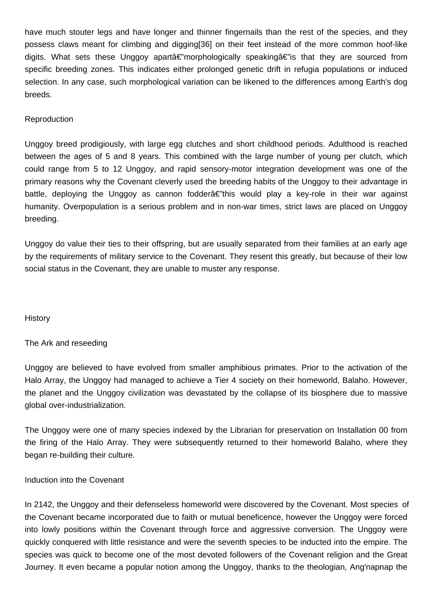have much stouter legs and have longer and thinner fingernails than the rest of the species, and they possess claws meant for climbing and digging[36] on their feet instead of the more common hoof-like digits. What sets these Unggoy aparta  $\epsilon$  morphologically speaking  $\epsilon$  is that they are sourced from specific breeding zones. This indicates either prolonged genetic drift in refugia populations or induced selection. In any case, such morphological variation can be likened to the differences among Earth's dog breeds.

# Reproduction

Unggoy breed prodigiously, with large egg clutches and short childhood periods. Adulthood is reached between the ages of 5 and 8 years. This combined with the large number of young per clutch, which could range from 5 to 12 Unggoy, and rapid sensory-motor integration development was one of the primary reasons why the Covenant cleverly used the breeding habits of the Unggoy to their advantage in battle, deploying the Unggoy as cannon fodder $\hat{\alpha} \in \hat{\beta}$ "this would play a key-role in their war against humanity. Overpopulation is a serious problem and in non-war times, strict laws are placed on Unggoy breeding.

Unggoy do value their ties to their offspring, but are usually separated from their families at an early age by the requirements of military service to the Covenant. They resent this greatly, but because of their low social status in the Covenant, they are unable to muster any response.

# **History**

# The Ark and reseeding

Unggoy are believed to have evolved from smaller amphibious primates. Prior to the activation of the Halo Array, the Unggoy had managed to achieve a Tier 4 society on their homeworld, Balaho. However, the planet and the Unggoy civilization was devastated by the collapse of its biosphere due to massive global over-industrialization.

The Unggoy were one of many species indexed by the Librarian for preservation on Installation 00 from the firing of the Halo Array. They were subsequently returned to their homeworld Balaho, where they began re-building their culture.

# Induction into the Covenant

In 2142, the Unggoy and their defenseless homeworld were discovered by the Covenant. Most species of the Covenant became incorporated due to faith or mutual beneficence, however the Unggoy were forced into lowly positions within the Covenant through force and aggressive conversion. The Unggoy were quickly conquered with little resistance and were the seventh species to be inducted into the empire. The species was quick to become one of the most devoted followers of the Covenant religion and the Great Journey. It even became a popular notion among the Unggoy, thanks to the theologian, Ang'napnap the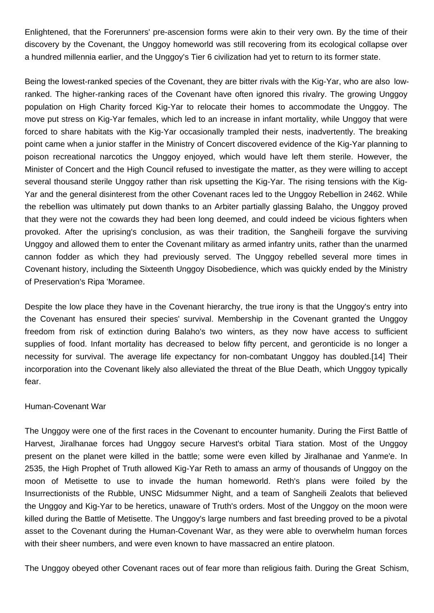Enlightened, that the Forerunners' pre-ascension forms were akin to their very own. By the time of their discovery by the Covenant, the Unggoy homeworld was still recovering from its ecological collapse over a hundred millennia earlier, and the Unggoy's Tier 6 civilization had yet to return to its former state.

Being the lowest-ranked species of the Covenant, they are bitter rivals with the Kig-Yar, who are also lowranked. The higher-ranking races of the Covenant have often ignored this rivalry. The growing Unggoy population on High Charity forced Kig-Yar to relocate their homes to accommodate the Unggoy. The move put stress on Kig-Yar females, which led to an increase in infant mortality, while Unggoy that were forced to share habitats with the Kig-Yar occasionally trampled their nests, inadvertently. The breaking point came when a junior staffer in the Ministry of Concert discovered evidence of the Kig-Yar planning to poison recreational narcotics the Unggoy enjoyed, which would have left them sterile. However, the Minister of Concert and the High Council refused to investigate the matter, as they were willing to accept several thousand sterile Unggoy rather than risk upsetting the Kig-Yar. The rising tensions with the Kig-Yar and the general disinterest from the other Covenant races led to the Unggoy Rebellion in 2462. While the rebellion was ultimately put down thanks to an Arbiter partially glassing Balaho, the Unggoy proved that they were not the cowards they had been long deemed, and could indeed be vicious fighters when provoked. After the uprising's conclusion, as was their tradition, the Sangheili forgave the surviving Unggoy and allowed them to enter the Covenant military as armed infantry units, rather than the unarmed cannon fodder as which they had previously served. The Unggoy rebelled several more times in Covenant history, including the Sixteenth Unggoy Disobedience, which was quickly ended by the Ministry of Preservation's Ripa 'Moramee.

Despite the low place they have in the Covenant hierarchy, the true irony is that the Unggoy's entry into the Covenant has ensured their species' survival. Membership in the Covenant granted the Unggoy freedom from risk of extinction during Balaho's two winters, as they now have access to sufficient supplies of food. Infant mortality has decreased to below fifty percent, and geronticide is no longer a necessity for survival. The average life expectancy for non-combatant Unggoy has doubled.[14] Their incorporation into the Covenant likely also alleviated the threat of the Blue Death, which Unggoy typically fear.

# Human-Covenant War

The Unggoy were one of the first races in the Covenant to encounter humanity. During the First Battle of Harvest, Jiralhanae forces had Unggoy secure Harvest's orbital Tiara station. Most of the Unggoy present on the planet were killed in the battle; some were even killed by Jiralhanae and Yanme'e. In 2535, the High Prophet of Truth allowed Kig-Yar Reth to amass an army of thousands of Unggoy on the moon of Metisette to use to invade the human homeworld. Reth's plans were foiled by the Insurrectionists of the Rubble, UNSC Midsummer Night, and a team of Sangheili Zealots that believed the Unggoy and Kig-Yar to be heretics, unaware of Truth's orders. Most of the Unggoy on the moon were killed during the Battle of Metisette. The Unggoy's large numbers and fast breeding proved to be a pivotal asset to the Covenant during the Human-Covenant War, as they were able to overwhelm human forces with their sheer numbers, and were even known to have massacred an entire platoon.

The Unggoy obeyed other Covenant races out of fear more than religious faith. During the Great Schism,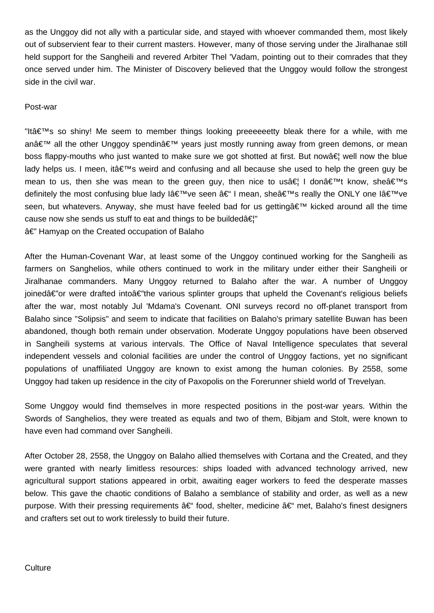as the Unggoy did not ally with a particular side, and stayed with whoever commanded them, most likely out of subservient fear to their current masters. However, many of those serving under the Jiralhanae still held support for the Sangheili and revered Arbiter Thel 'Vadam, pointing out to their comrades that they once served under him. The Minister of Discovery believed that the Unggoy would follow the strongest side in the civil war.

# Post-war

"It $a \in T^M$ s so shiny! Me seem to member things looking preeeeeetty bleak there for a while, with me anâ€<sup>™</sup> all the other Unggoy spendin' years just mostly running away from green demons, or mean boss flappy-mouths who just wanted to make sure we got shotted at first. But now a fill now the blue lady helps us. I meen, it  $\hat{\epsilon} \in \mathbb{N}$  weird and confusing and all because she used to help the green guy be mean to us, then she was mean to the green guy, then nice to usa  $\epsilon$  I don  $\epsilon \in \mathbb{M}$  know, shea $\epsilon \in \mathbb{N}$ definitely the most confusing blue lady lâ $\infty$ <sup>n</sup>ve seen â $\infty$  I mean, sheâ $\infty$ <sup>n</sup>s really the ONLY one lâ $\infty$ <sup>n</sup>ve seen, but whatevers. Anyway, she must have feeled bad for us getting a €<sup>™</sup> kicked around all the time cause now she sends us stuff to eat and things to be builded $\hat{a} \in \hat{B}$ " â€" Hamyap on the Created occupation of Balaho

After the Human-Covenant War, at least some of the Unggoy continued working for the Sangheili as farmers on Sanghelios, while others continued to work in the military under either their Sangheili or Jiralhanae commanders. Many Unggoy returned to Balaho after the war. A number of Unggoy ioinedâ€"or were drafted intoâ€"the various splinter groups that upheld the Covenant's religious beliefs after the war, most notably Jul 'Mdama's Covenant. ONI surveys record no off-planet transport from Balaho since "Solipsis" and seem to indicate that facilities on Balaho's primary satellite Buwan has been abandoned, though both remain under observation. Moderate Unggoy populations have been observed in Sangheili systems at various intervals. The Office of Naval Intelligence speculates that several independent vessels and colonial facilities are under the control of Unggoy factions, yet no significant populations of unaffiliated Unggoy are known to exist among the human colonies. By 2558, some Unggoy had taken up residence in the city of Paxopolis on the Forerunner shield world of Trevelyan.

Some Unggoy would find themselves in more respected positions in the post-war years. Within the Swords of Sanghelios, they were treated as equals and two of them, Bibjam and Stolt, were known to have even had command over Sangheili.

After October 28, 2558, the Unggoy on Balaho allied themselves with Cortana and the Created, and they were granted with nearly limitless resources: ships loaded with advanced technology arrived, new agricultural support stations appeared in orbit, awaiting eager workers to feed the desperate masses below. This gave the chaotic conditions of Balaho a semblance of stability and order, as well as a new purpose. With their pressing requirements †food, shelter, medicine †met, Balaho's finest designers and crafters set out to work tirelessly to build their future.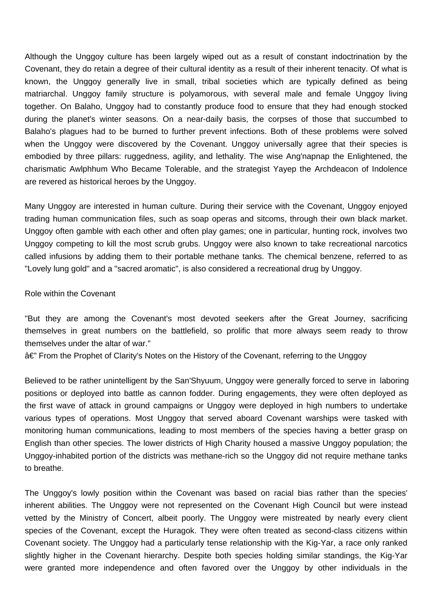Although the Unggoy culture has been largely wiped out as a result of constant indoctrination by the Covenant, they do retain a degree of their cultural identity as a result of their inherent tenacity. Of what is known, the Unggoy generally live in small, tribal societies which are typically defined as being matriarchal. Unggoy family structure is polyamorous, with several male and female Unggoy living together. On Balaho, Unggoy had to constantly produce food to ensure that they had enough stocked during the planet's winter seasons. On a near-daily basis, the corpses of those that succumbed to Balaho's plagues had to be burned to further prevent infections. Both of these problems were solved when the Unggoy were discovered by the Covenant. Unggoy universally agree that their species is embodied by three pillars: ruggedness, agility, and lethality. The wise Ang'napnap the Enlightened, the charismatic Awlphhum Who Became Tolerable, and the strategist Yayep the Archdeacon of Indolence are revered as historical heroes by the Unggoy.

Many Unggoy are interested in human culture. During their service with the Covenant, Unggoy enjoyed trading human communication files, such as soap operas and sitcoms, through their own black market. Unggoy often gamble with each other and often play games; one in particular, hunting rock, involves two Unggoy competing to kill the most scrub grubs. Unggoy were also known to take recreational narcotics called infusions by adding them to their portable methane tanks. The chemical benzene, referred to as "Lovely lung gold" and a "sacred aromatic", is also considered a recreational drug by Unggoy.

#### Role within the Covenant

"But they are among the Covenant's most devoted seekers after the Great Journey, sacrificing themselves in great numbers on the battlefield, so prolific that more always seem ready to throw themselves under the altar of war."

â€" From the Prophet of Clarity's Notes on the History of the Covenant, referring to the Unggoy

Believed to be rather unintelligent by the San'Shyuum, Unggoy were generally forced to serve in laboring positions or deployed into battle as cannon fodder. During engagements, they were often deployed as the first wave of attack in ground campaigns or Unggoy were deployed in high numbers to undertake various types of operations. Most Unggoy that served aboard Covenant warships were tasked with monitoring human communications, leading to most members of the species having a better grasp on English than other species. The lower districts of High Charity housed a massive Unggoy population; the Unggoy-inhabited portion of the districts was methane-rich so the Unggoy did not require methane tanks to breathe.

The Unggoy's lowly position within the Covenant was based on racial bias rather than the species' inherent abilities. The Unggoy were not represented on the Covenant High Council but were instead vetted by the Ministry of Concert, albeit poorly. The Unggoy were mistreated by nearly every client species of the Covenant, except the Huragok. They were often treated as second-class citizens within Covenant society. The Unggoy had a particularly tense relationship with the Kig-Yar, a race only ranked slightly higher in the Covenant hierarchy. Despite both species holding similar standings, the Kig-Yar were granted more independence and often favored over the Unggoy by other individuals in the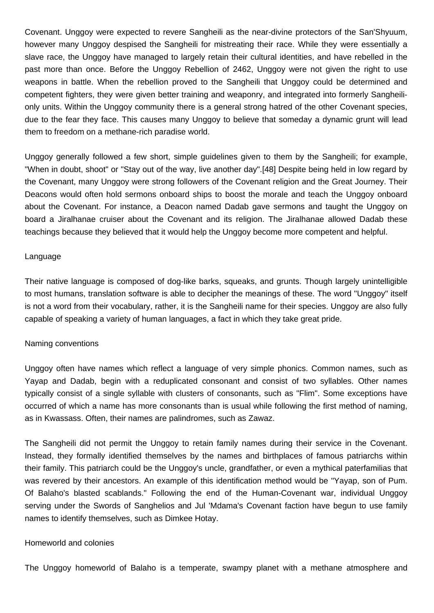Covenant. Unggoy were expected to revere Sangheili as the near-divine protectors of the San'Shyuum, however many Unggoy despised the Sangheili for mistreating their race. While they were essentially a slave race, the Unggoy have managed to largely retain their cultural identities, and have rebelled in the past more than once. Before the Unggoy Rebellion of 2462, Unggoy were not given the right to use weapons in battle. When the rebellion proved to the Sangheili that Unggoy could be determined and competent fighters, they were given better training and weaponry, and integrated into formerly Sangheilionly units. Within the Unggoy community there is a general strong hatred of the other Covenant species, due to the fear they face. This causes many Unggoy to believe that someday a dynamic grunt will lead them to freedom on a methane-rich paradise world.

Unggoy generally followed a few short, simple guidelines given to them by the Sangheili; for example, "When in doubt, shoot" or "Stay out of the way, live another day".[48] Despite being held in low regard by the Covenant, many Unggoy were strong followers of the Covenant religion and the Great Journey. Their Deacons would often hold sermons onboard ships to boost the morale and teach the Unggoy onboard about the Covenant. For instance, a Deacon named Dadab gave sermons and taught the Unggoy on board a Jiralhanae cruiser about the Covenant and its religion. The Jiralhanae allowed Dadab these teachings because they believed that it would help the Unggoy become more competent and helpful.

## Language

Their native language is composed of dog-like barks, squeaks, and grunts. Though largely unintelligible to most humans, translation software is able to decipher the meanings of these. The word "Unggoy" itself is not a word from their vocabulary, rather, it is the Sangheili name for their species. Unggoy are also fully capable of speaking a variety of human languages, a fact in which they take great pride.

# Naming conventions

Unggoy often have names which reflect a language of very simple phonics. Common names, such as Yayap and Dadab, begin with a reduplicated consonant and consist of two syllables. Other names typically consist of a single syllable with clusters of consonants, such as "Flim". Some exceptions have occurred of which a name has more consonants than is usual while following the first method of naming, as in Kwassass. Often, their names are palindromes, such as Zawaz.

The Sangheili did not permit the Unggoy to retain family names during their service in the Covenant. Instead, they formally identified themselves by the names and birthplaces of famous patriarchs within their family. This patriarch could be the Unggoy's uncle, grandfather, or even a mythical paterfamilias that was revered by their ancestors. An example of this identification method would be "Yayap, son of Pum. Of Balaho's blasted scablands." Following the end of the Human-Covenant war, individual Unggoy serving under the Swords of Sanghelios and Jul 'Mdama's Covenant faction have begun to use family names to identify themselves, such as Dimkee Hotay.

#### Homeworld and colonies

The Unggoy homeworld of Balaho is a temperate, swampy planet with a methane atmosphere and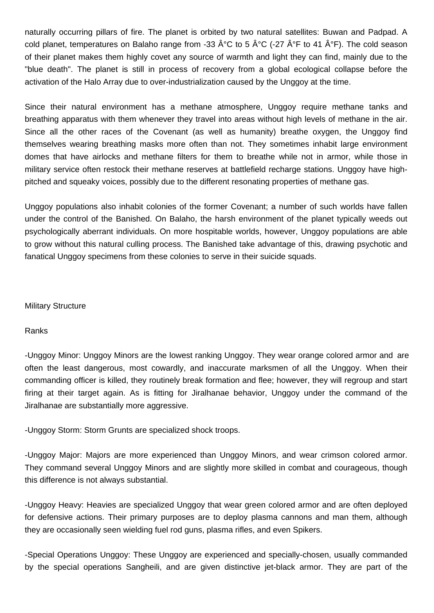naturally occurring pillars of fire. The planet is orbited by two natural satellites: Buwan and Padpad. A cold planet, temperatures on Balaho range from -33  $\hat{A}^{\circ}C$  to 5  $\hat{A}^{\circ}C$  (-27  $\hat{A}^{\circ}F$  to 41  $\hat{A}^{\circ}F$ ). The cold season of their planet makes them highly covet any source of warmth and light they can find, mainly due to the "blue death". The planet is still in process of recovery from a global ecological collapse before the activation of the Halo Array due to over-industrialization caused by the Unggoy at the time.

Since their natural environment has a methane atmosphere, Unggoy require methane tanks and breathing apparatus with them whenever they travel into areas without high levels of methane in the air. Since all the other races of the Covenant (as well as humanity) breathe oxygen, the Unggoy find themselves wearing breathing masks more often than not. They sometimes inhabit large environment domes that have airlocks and methane filters for them to breathe while not in armor, while those in military service often restock their methane reserves at battlefield recharge stations. Unggoy have highpitched and squeaky voices, possibly due to the different resonating properties of methane gas.

Unggoy populations also inhabit colonies of the former Covenant; a number of such worlds have fallen under the control of the Banished. On Balaho, the harsh environment of the planet typically weeds out psychologically aberrant individuals. On more hospitable worlds, however, Unggoy populations are able to grow without this natural culling process. The Banished take advantage of this, drawing psychotic and fanatical Unggoy specimens from these colonies to serve in their suicide squads.

# Military Structure

# Ranks

-Unggoy Minor: Unggoy Minors are the lowest ranking Unggoy. They wear orange colored armor and are often the least dangerous, most cowardly, and inaccurate marksmen of all the Unggoy. When their commanding officer is killed, they routinely break formation and flee; however, they will regroup and start firing at their target again. As is fitting for Jiralhanae behavior, Unggoy under the command of the Jiralhanae are substantially more aggressive.

-Unggoy Storm: Storm Grunts are specialized shock troops.

-Unggoy Major: Majors are more experienced than Unggoy Minors, and wear crimson colored armor. They command several Unggoy Minors and are slightly more skilled in combat and courageous, though this difference is not always substantial.

-Unggoy Heavy: Heavies are specialized Unggoy that wear green colored armor and are often deployed for defensive actions. Their primary purposes are to deploy plasma cannons and man them, although they are occasionally seen wielding fuel rod guns, plasma rifles, and even Spikers.

-Special Operations Unggoy: These Unggoy are experienced and specially-chosen, usually commanded by the special operations Sangheili, and are given distinctive jet-black armor. They are part of the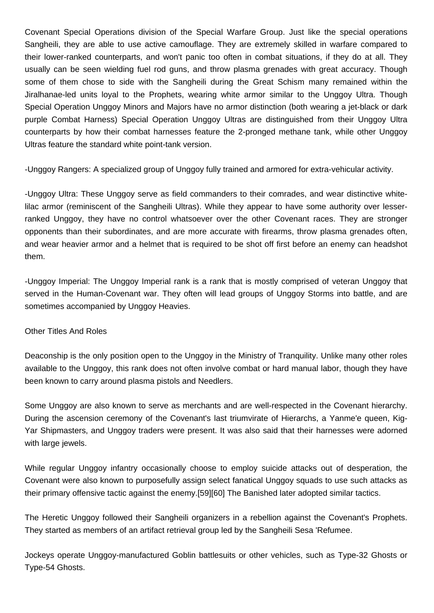Covenant Special Operations division of the Special Warfare Group. Just like the special operations Sangheili, they are able to use active camouflage. They are extremely skilled in warfare compared to their lower-ranked counterparts, and won't panic too often in combat situations, if they do at all. They usually can be seen wielding fuel rod guns, and throw plasma grenades with great accuracy. Though some of them chose to side with the Sangheili during the Great Schism many remained within the Jiralhanae-led units loyal to the Prophets, wearing white armor similar to the Unggoy Ultra. Though Special Operation Unggoy Minors and Majors have no armor distinction (both wearing a jet-black or dark purple Combat Harness) Special Operation Unggoy Ultras are distinguished from their Unggoy Ultra counterparts by how their combat harnesses feature the 2-pronged methane tank, while other Unggov Ultras feature the standard white point-tank version.

-Unggoy Rangers: A specialized group of Unggoy fully trained and armored for extra-vehicular activity.

-Unggoy Ultra: These Unggoy serve as field commanders to their comrades, and wear distinctive whitelilac armor (reminiscent of the Sangheili Ultras). While they appear to have some authority over lesserranked Unggoy, they have no control whatsoever over the other Covenant races. They are stronger opponents than their subordinates, and are more accurate with firearms, throw plasma grenades often, and wear heavier armor and a helmet that is required to be shot off first before an enemy can headshot them.

-Unggoy Imperial: The Unggoy Imperial rank is a rank that is mostly comprised of veteran Unggoy that served in the Human-Covenant war. They often will lead groups of Unggoy Storms into battle, and are sometimes accompanied by Unggoy Heavies.

# Other Titles And Roles

Deaconship is the only position open to the Unggoy in the Ministry of Tranquility. Unlike many other roles available to the Unggoy, this rank does not often involve combat or hard manual labor, though they have been known to carry around plasma pistols and Needlers.

Some Unggoy are also known to serve as merchants and are well-respected in the Covenant hierarchy. During the ascension ceremony of the Covenant's last triumvirate of Hierarchs, a Yanme'e queen, Kig-Yar Shipmasters, and Unggoy traders were present. It was also said that their harnesses were adorned with large jewels.

While regular Unggoy infantry occasionally choose to employ suicide attacks out of desperation, the Covenant were also known to purposefully assign select fanatical Unggoy squads to use such attacks as their primary offensive tactic against the enemy.[59][60] The Banished later adopted similar tactics.

The Heretic Unggoy followed their Sangheili organizers in a rebellion against the Covenant's Prophets. They started as members of an artifact retrieval group led by the Sangheili Sesa 'Refumee.

Jockeys operate Unggoy-manufactured Goblin battlesuits or other vehicles, such as Type-32 Ghosts or Type-54 Ghosts.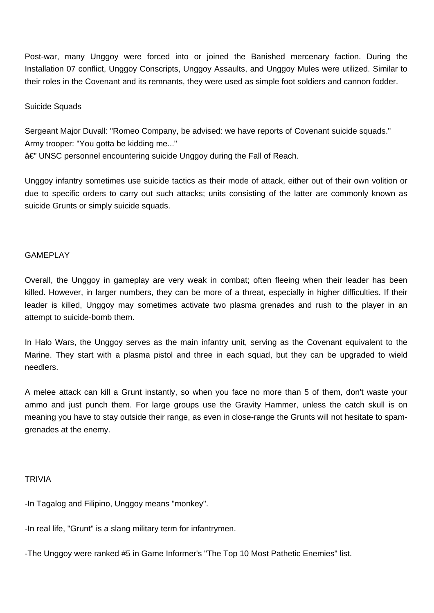Post-war, many Unggoy were forced into or joined the Banished mercenary faction. During the Installation 07 conflict, Unggoy Conscripts, Unggoy Assaults, and Unggoy Mules were utilized. Similar to their roles in the Covenant and its remnants, they were used as simple foot soldiers and cannon fodder.

# Suicide Squads

Sergeant Major Duvall: "Romeo Company, be advised: we have reports of Covenant suicide squads." Army trooper: "You gotta be kidding me..." â€" UNSC personnel encountering suicide Unggoy during the Fall of Reach.

Unggoy infantry sometimes use suicide tactics as their mode of attack, either out of their own volition or due to specific orders to carry out such attacks; units consisting of the latter are commonly known as suicide Grunts or simply suicide squads.

# GAMEPLAY

Overall, the Unggoy in gameplay are very weak in combat; often fleeing when their leader has been killed. However, in larger numbers, they can be more of a threat, especially in higher difficulties. If their leader is killed, Unggoy may sometimes activate two plasma grenades and rush to the player in an attempt to suicide-bomb them.

In Halo Wars, the Unggoy serves as the main infantry unit, serving as the Covenant equivalent to the Marine. They start with a plasma pistol and three in each squad, but they can be upgraded to wield needlers.

A melee attack can kill a Grunt instantly, so when you face no more than 5 of them, don't waste your ammo and just punch them. For large groups use the Gravity Hammer, unless the catch skull is on meaning you have to stay outside their range, as even in close-range the Grunts will not hesitate to spamgrenades at the enemy.

# **TRIVIA**

-In Tagalog and Filipino, Unggoy means "monkey".

-In real life, "Grunt" is a slang military term for infantrymen.

-The Unggoy were ranked #5 in Game Informer's "The Top 10 Most Pathetic Enemies" list.